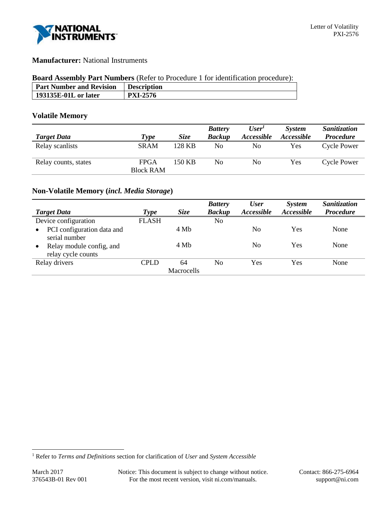

# **Manufacturer:** National Instruments

### **Board Assembly Part Numbers** (Refer to Procedure 1 for identification procedure):

| <b>Part Number and Revision</b> | <b>Description</b> |
|---------------------------------|--------------------|
| 193135E-01L or later            | <b>PXI-2576</b>    |
|                                 |                    |

## **Volatile Memory**

|                      |                  |             | <b>Battery</b> | User <sup>1</sup> | <b>System</b>     | <b>Sanitization</b> |
|----------------------|------------------|-------------|----------------|-------------------|-------------------|---------------------|
| <b>Target Data</b>   | Type             | <i>Size</i> | <b>Backup</b>  | Accessible        | <i>Accessible</i> | <b>Procedure</b>    |
| Relay scanlists      | <b>SRAM</b>      | 128 KB      | No             | No                | <b>Yes</b>        | <b>Cycle Power</b>  |
| Relay counts, states | <b>FPGA</b>      | 150 KB      | No             | No                | Yes               | <b>Cycle Power</b>  |
|                      | <b>Block RAM</b> |             |                |                   |                   |                     |

## **Non-Volatile Memory (***incl. Media Storage***)**

| <b>Target Data</b>                                          | Type         | <b>Size</b> | <b>Battery</b><br><b>Backup</b> | <b>User</b><br>Accessible | System<br>Accessible | <b>Sanitization</b><br><b>Procedure</b> |
|-------------------------------------------------------------|--------------|-------------|---------------------------------|---------------------------|----------------------|-----------------------------------------|
| Device configuration                                        | <b>FLASH</b> |             | No                              |                           |                      |                                         |
| PCI configuration data and<br>$\bullet$<br>serial number    |              | 4 Mb        |                                 | N <sub>0</sub>            | Yes                  | None                                    |
| Relay module config, and<br>$\bullet$<br>relay cycle counts |              | 4 Mb        |                                 | N <sub>0</sub>            | Yes                  | None                                    |
| Relay drivers                                               | CPLD         | 64          | N <sub>0</sub>                  | Yes                       | Yes                  | None                                    |
|                                                             |              | Macrocells  |                                 |                           |                      |                                         |

l

<sup>1</sup> Refer to *Terms and Definitions* section for clarification of *User* and *System Accessible*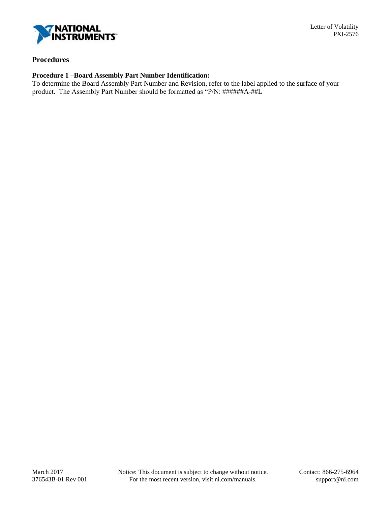

### **Procedures**

## **Procedure 1 –Board Assembly Part Number Identification:**

To determine the Board Assembly Part Number and Revision, refer to the label applied to the surface of your product. The Assembly Part Number should be formatted as "P/N: ######A-##L